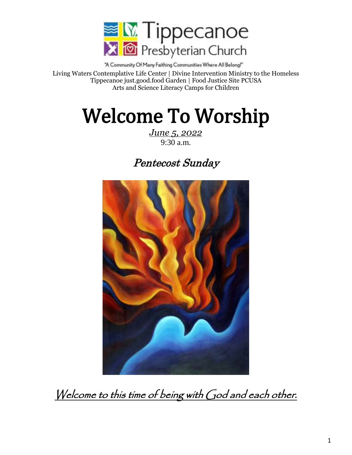

"A Community Of Many Faithing Communities Where All Belong!" Living Waters Contemplative Life Center | Divine Intervention Ministry to the Homeless Tippecanoe just.good.food Garden | Food Justice Site PCUSA Arts and Science Literacy Camps for Children

# Welcome To Worship

*June 5, 2022* 9:30 a.m.

# Pentecost Sunday



Welcome to this time of being with God and each other.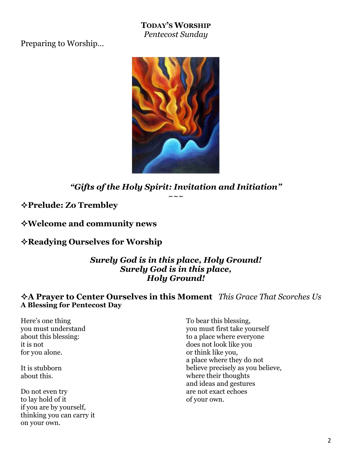**TODAY'S WORSHIP** *Pentecost Sunday*

Preparing to Worship…



*"Gifts of the Holy Spirit: Invitation and Initiation"*  $\sim\sim\:\sim$ 

**Prelude: Zo Trembley**

**Welcome and community news**

**Readying Ourselves for Worship** 

*Surely God is in this place, Holy Ground! Surely God is in this place, Holy Ground!*

#### **A Prayer to Center Ourselves in this Moment** *This Grace That Scorches Us* **A Blessing for Pentecost Day**

Here's one thing you must understand about this blessing: it is not for you alone.

It is stubborn about this.

Do not even try to lay hold of it if you are by yourself, thinking you can carry it on your own.

To bear this blessing, you must first take yourself to a place where everyone does not look like you or think like you, a place where they do not believe precisely as you believe, where their thoughts and ideas and gestures are not exact echoes of your own.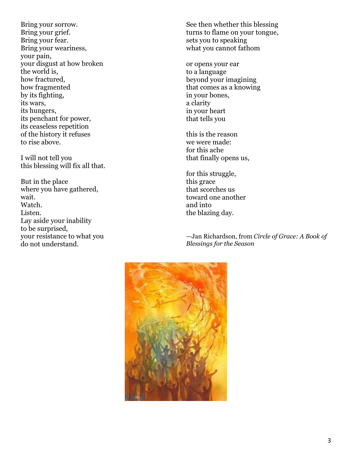Bring your sorrow. Bring your grief. Bring your fear. Bring your weariness, your pain, your disgust at how broken the world is, how fractured, how fragmented by its fighting, its wars, its hungers, its penchant for power, its ceaseless repetition of the history it refuses to rise above.

I will not tell you this blessing will fix all that.

But in the place where you have gathered, wait. Watch. Listen. Lay aside your inability to be surprised, your resistance to what you do not understand.

See then whether this blessing turns to flame on your tongue, sets you to speaking what you cannot fathom

or opens your ear to a language beyond your imagining that comes as a knowing in your bones, a clarity in your heart that tells you

this is the reason we were made: for this ache that finally opens us,

for this struggle, this grace that scorches us toward one another and into the blazing day.

—Jan Richardson, from *Circle of Grace: A Book of Blessings for the Season*

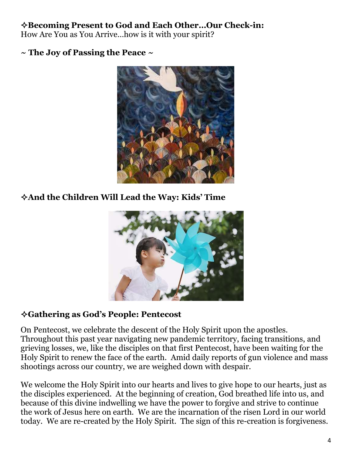# **Becoming Present to God and Each Other…Our Check-in:**

How Are You as You Arrive…how is it with your spirit?

**~ The Joy of Passing the Peace ~**



**And the Children Will Lead the Way: Kids' Time**



# **Gathering as God's People: Pentecost**

On Pentecost, we celebrate the descent of the Holy Spirit upon the apostles. Throughout this past year navigating new pandemic territory, facing transitions, and grieving losses, we, like the disciples on that first Pentecost, have been waiting for the Holy Spirit to renew the face of the earth. Amid daily reports of gun violence and mass shootings across our country, we are weighed down with despair.

We welcome the Holy Spirit into our hearts and lives to give hope to our hearts, just as the disciples experienced. At the beginning of creation, God breathed life into us, and because of this divine indwelling we have the power to forgive and strive to continue the work of Jesus here on earth. We are the incarnation of the risen Lord in our world today. We are re-created by the Holy Spirit. The sign of this re-creation is forgiveness.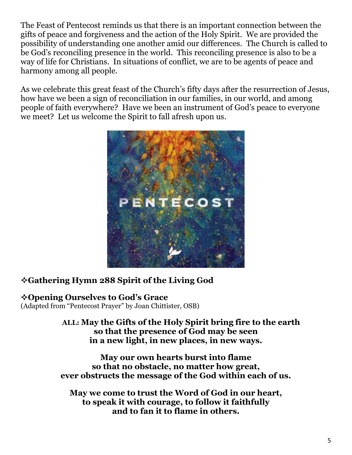The Feast of Pentecost reminds us that there is an important connection between the gifts of peace and forgiveness and the action of the Holy Spirit. We are provided the possibility of understanding one another amid our differences. The Church is called to be God's reconciling presence in the world. This reconciling presence is also to be a way of life for Christians. In situations of conflict, we are to be agents of peace and harmony among all people.

As we celebrate this great feast of the Church's fifty days after the resurrection of Jesus, how have we been a sign of reconciliation in our families, in our world, and among people of faith everywhere? Have we been an instrument of God's peace to everyone we meet? Let us welcome the Spirit to fall afresh upon us.



# **Gathering Hymn 288 Spirit of the Living God**

**Opening Ourselves to God's Grace** (Adapted from "Pentecost Prayer" by Joan Chittister, OSB)

> **ALL: May the Gifts of the Holy Spirit bring fire to the earth so that the presence of God may be seen in a new light, in new places, in new ways.**

**May our own hearts burst into flame so that no obstacle, no matter how great, ever obstructs the message of the God within each of us.**

**May we come to trust the Word of God in our heart, to speak it with courage, to follow it faithfully and to fan it to flame in others.**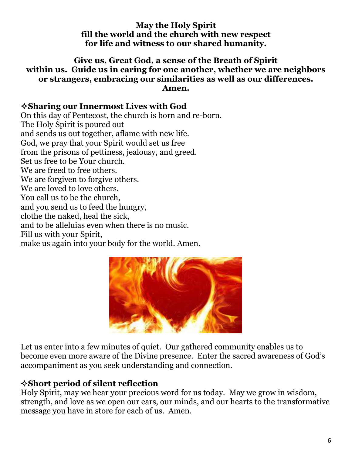#### **May the Holy Spirit fill the world and the church with new respect for life and witness to our shared humanity.**

#### **Give us, Great God, a sense of the Breath of Spirit within us. Guide us in caring for one another, whether we are neighbors or strangers, embracing our similarities as well as our differences. Amen.**

#### **Sharing our Innermost Lives with God**

On this day of Pentecost, the church is born and re-born. The Holy Spirit is poured out and sends us out together, aflame with new life. God, we pray that your Spirit would set us free from the prisons of pettiness, jealousy, and greed. Set us free to be Your church. We are freed to free others. We are forgiven to forgive others. We are loved to love others. You call us to be the church, and you send us to feed the hungry, clothe the naked, heal the sick, and to be alleluias even when there is no music. Fill us with your Spirit, make us again into your body for the world. Amen.



Let us enter into a few minutes of quiet. Our gathered community enables us to become even more aware of the Divine presence. Enter the sacred awareness of God's accompaniment as you seek understanding and connection.

# **Short period of silent reflection**

Holy Spirit, may we hear your precious word for us today. May we grow in wisdom, strength, and love as we open our ears, our minds, and our hearts to the transformative message you have in store for each of us. Amen.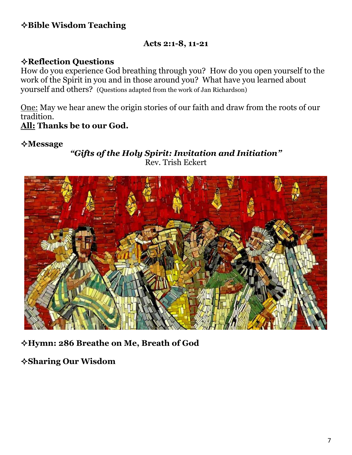# **Bible Wisdom Teaching**

#### **Acts 2:1-8, 11-21**

### **Reflection Questions**

How do you experience God breathing through you? How do you open yourself to the work of the Spirit in you and in those around you? What have you learned about yourself and others? (Questions adapted from the work of Jan Richardson)

One: May we hear anew the origin stories of our faith and draw from the roots of our tradition.

#### **All: Thanks be to our God.**

#### **Message**

*"Gifts of the Holy Spirit: Invitation and Initiation"* Rev. Trish Eckert



**Hymn: 286 Breathe on Me, Breath of God**

**Sharing Our Wisdom**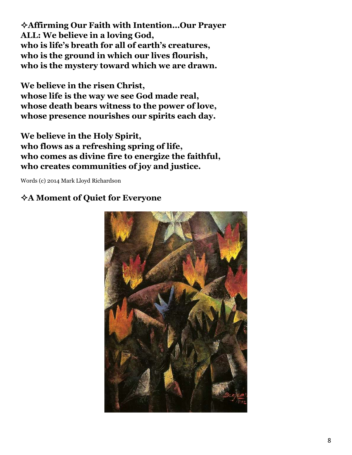**Affirming Our Faith with Intention…Our Prayer ALL: We believe in a loving God, who is life's breath for all of earth's creatures, who is the ground in which our lives flourish, who is the mystery toward which we are drawn.**

**We believe in the risen Christ, whose life is the way we see God made real, whose death bears witness to the power of love, whose presence nourishes our spirits each day.**

**We believe in the Holy Spirit, who flows as a refreshing spring of life, who comes as divine fire to energize the faithful, who creates communities of joy and justice.**

Words (c) 2014 Mark Lloyd Richardson

# **A Moment of Quiet for Everyone**

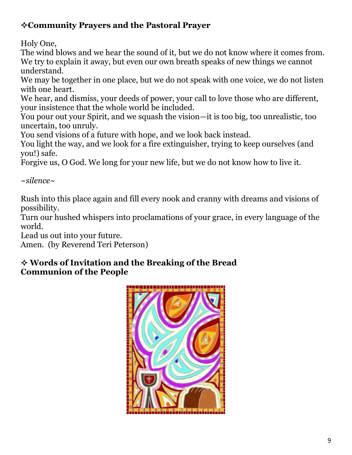# **Community Prayers and the Pastoral Prayer**

Holy One,

The wind blows and we hear the sound of it, but we do not know where it comes from. We try to explain it away, but even our own breath speaks of new things we cannot understand.

We may be together in one place, but we do not speak with one voice, we do not listen with one heart.

We hear, and dismiss, your deeds of power, your call to love those who are different, your insistence that the whole world be included.

You pour out your Spirit, and we squash the vision—it is too big, too unrealistic, too uncertain, too unruly.

You send visions of a future with hope, and we look back instead.

You light the way, and we look for a fire extinguisher, trying to keep ourselves (and you!) safe.

Forgive us, O God. We long for your new life, but we do not know how to live it.

*~silence~*

Rush into this place again and fill every nook and cranny with dreams and visions of possibility.

Turn our hushed whispers into proclamations of your grace, in every language of the world.

Lead us out into your future.

Amen. (by Reverend Teri Peterson)

# **Words of Invitation and the Breaking of the Bread Communion of the People**

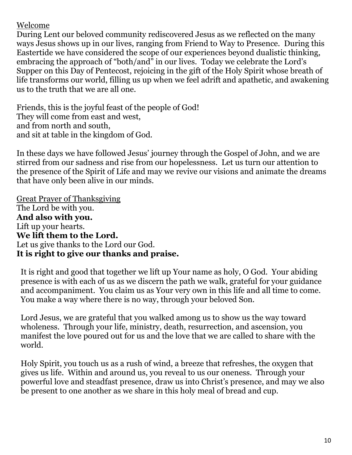Welcome

During Lent our beloved community rediscovered Jesus as we reflected on the many ways Jesus shows up in our lives, ranging from Friend to Way to Presence. During this Eastertide we have considered the scope of our experiences beyond dualistic thinking, embracing the approach of "both/and" in our lives. Today we celebrate the Lord's Supper on this Day of Pentecost, rejoicing in the gift of the Holy Spirit whose breath of life transforms our world, filling us up when we feel adrift and apathetic, and awakening us to the truth that we are all one.

Friends, this is the joyful feast of the people of God! They will come from east and west, and from north and south, and sit at table in the kingdom of God.

In these days we have followed Jesus' journey through the Gospel of John, and we are stirred from our sadness and rise from our hopelessness. Let us turn our attention to the presence of the Spirit of Life and may we revive our visions and animate the dreams that have only been alive in our minds.

Great Prayer of Thanksgiving The Lord be with you. **And also with you.** Lift up your hearts. **We lift them to the Lord.** Let us give thanks to the Lord our God. **It is right to give our thanks and praise.**

It is right and good that together we lift up Your name as holy, O God. Your abiding presence is with each of us as we discern the path we walk, grateful for your guidance and accompaniment. You claim us as Your very own in this life and all time to come. You make a way where there is no way, through your beloved Son.

Lord Jesus, we are grateful that you walked among us to show us the way toward wholeness. Through your life, ministry, death, resurrection, and ascension, you manifest the love poured out for us and the love that we are called to share with the world.

Holy Spirit, you touch us as a rush of wind, a breeze that refreshes, the oxygen that gives us life. Within and around us, you reveal to us our oneness. Through your powerful love and steadfast presence, draw us into Christ's presence, and may we also be present to one another as we share in this holy meal of bread and cup.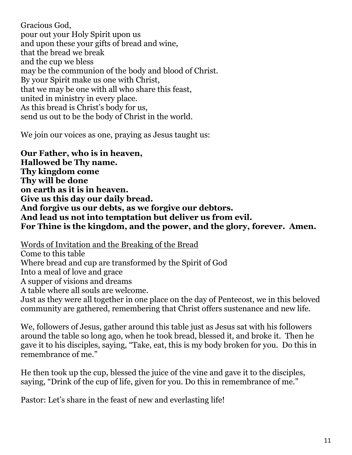Gracious God, pour out your Holy Spirit upon us and upon these your gifts of bread and wine, that the bread we break and the cup we bless may be the communion of the body and blood of Christ. By your Spirit make us one with Christ, that we may be one with all who share this feast, united in ministry in every place. As this bread is Christ's body for us, send us out to be the body of Christ in the world.

We join our voices as one, praying as Jesus taught us:

**Our Father, who is in heaven, Hallowed be Thy name. Thy kingdom come Thy will be done on earth as it is in heaven. Give us this day our daily bread. And forgive us our debts, as we forgive our debtors. And lead us not into temptation but deliver us from evil. For Thine is the kingdom, and the power, and the glory, forever. Amen.**

Words of Invitation and the Breaking of the Bread Come to this table Where bread and cup are transformed by the Spirit of God Into a meal of love and grace A supper of visions and dreams A table where all souls are welcome. Just as they were all together in one place on the day of Pentecost, we in this beloved community are gathered, remembering that Christ offers sustenance and new life.

We, followers of Jesus, gather around this table just as Jesus sat with his followers around the table so long ago, when he took bread, blessed it, and broke it. Then he gave it to his disciples, saying, "Take, eat, this is my body broken for you. Do this in remembrance of me."

He then took up the cup, blessed the juice of the vine and gave it to the disciples, saying, "Drink of the cup of life, given for you. Do this in remembrance of me."

Pastor: Let's share in the feast of new and everlasting life!